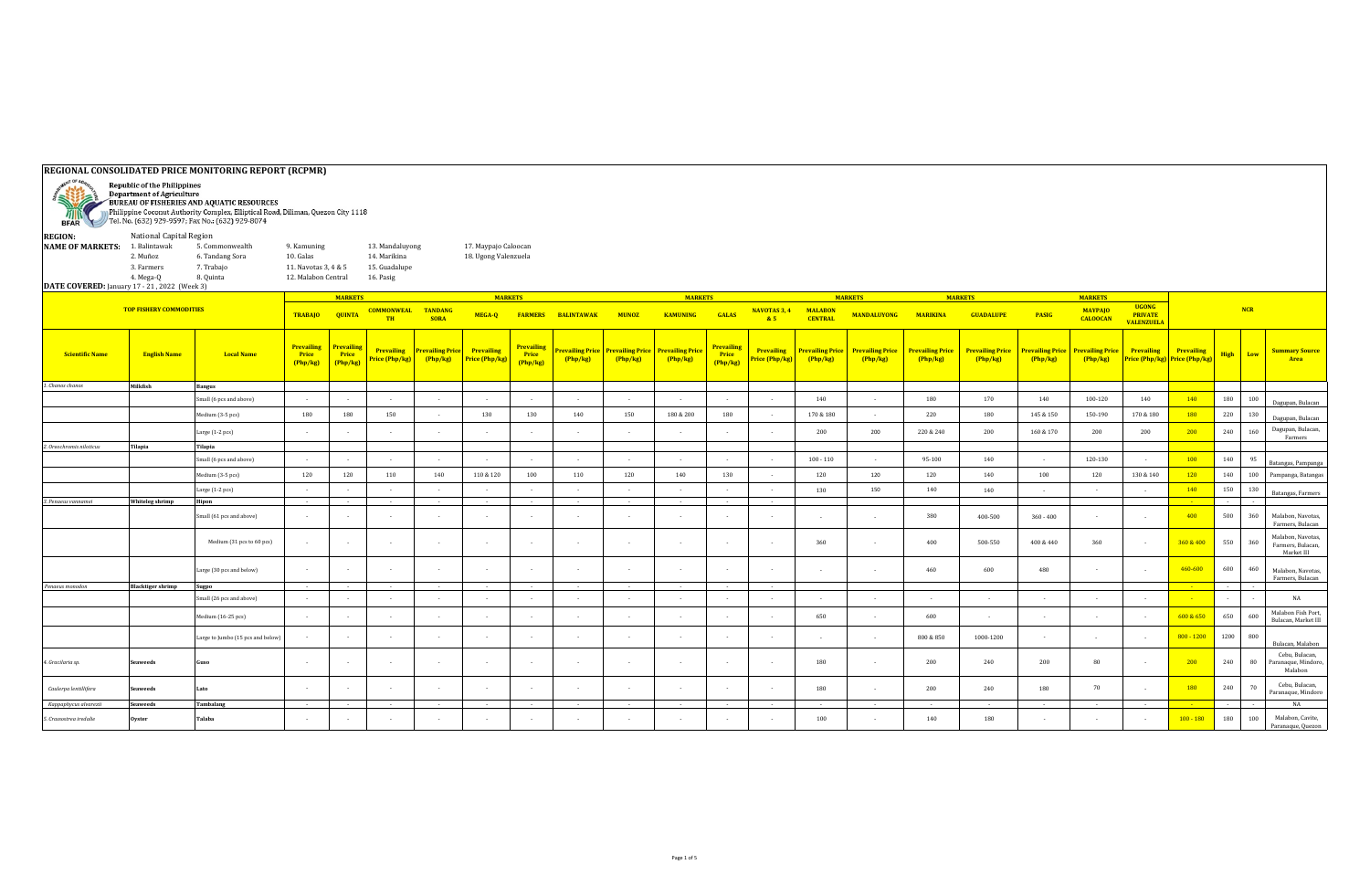|                                                                                                                                                                                                                                                                       |                                                                |                                                               |                                                                         |                                      | REGIONAL CONSOLIDATED PRICE MONITORING REPORT (RCPMR)         |                                   |                                              |                                        |                           |                          |                                                                     |                               |                                     |                                   |                                      |                                   |                                    |              |                                                     |                                                     |                                                    |             |     |                                                      |
|-----------------------------------------------------------------------------------------------------------------------------------------------------------------------------------------------------------------------------------------------------------------------|----------------------------------------------------------------|---------------------------------------------------------------|-------------------------------------------------------------------------|--------------------------------------|---------------------------------------------------------------|-----------------------------------|----------------------------------------------|----------------------------------------|---------------------------|--------------------------|---------------------------------------------------------------------|-------------------------------|-------------------------------------|-----------------------------------|--------------------------------------|-----------------------------------|------------------------------------|--------------|-----------------------------------------------------|-----------------------------------------------------|----------------------------------------------------|-------------|-----|------------------------------------------------------|
| <b>Republic of the Philippines</b><br><b>Department of Agriculture</b><br>2<br>BUREAU OF FISHERIES AND AQUATIC RESOURCES<br>Philippine Coconut Authority Complex, Elliptical Road, Diliman, Quezon City 1118<br>BFAR Tel. No. (632) 929-9597; Fax No.: (632) 929-8074 |                                                                |                                                               |                                                                         |                                      |                                                               |                                   |                                              |                                        |                           |                          |                                                                     |                               |                                     |                                   |                                      |                                   |                                    |              |                                                     |                                                     |                                                    |             |     |                                                      |
| <b>REGION:</b><br>NAME OF MARKETS: 1. Balintawak<br>DATE COVERED: January 17 - 21, 2022 (Week 3)                                                                                                                                                                      | National Capital Region<br>2. Muñoz<br>3. Farmers<br>4. Mega-Q | 5. Commonwealth<br>6. Tandang Sora<br>7. Trabajo<br>8. Quinta | 9. Kamuning<br>10. Galas<br>11. Navotas 3, 4 & 5<br>12. Malabon Central |                                      | 13. Mandaluyong<br>14. Marikina<br>15. Guadalupe<br>16. Pasig |                                   | 17. Maypajo Caloocan<br>18. Ugong Valenzuela |                                        |                           |                          |                                                                     |                               |                                     |                                   |                                      |                                   |                                    |              |                                                     |                                                     |                                                    |             |     |                                                      |
|                                                                                                                                                                                                                                                                       | <b>TOP FISHERY COMMODITIES</b>                                 |                                                               | <b>TRABAJO</b>                                                          | <b>MARKETS</b><br><b>QUINTA</b>      | <b>COMMONWEAL</b><br><b>TH</b>                                | <b>TANDANG</b><br><b>SORA</b>     | <b>MARKETS</b><br>MEGA-Q                     |                                        | <b>FARMERS BALINTAWAK</b> | <b>MUNOZ</b>             | <b>MARKETS</b><br><b>KAMUNING</b>                                   | GALAS                         | NAVOTAS 3, 4<br>85                  | <b>MALABON</b><br><b>CENTRAL</b>  | <b>MARKETS</b><br><b>MANDALUYONG</b> | <b>MARIKINA</b>                   | <b>MARKETS</b><br><b>GUADALUPE</b> | <b>PASIG</b> | <b>MARKETS</b><br><b>MAYPAJO</b><br><b>CALOOCAN</b> | <b>UGONG</b><br><b>PRIVATE</b><br><b>VALENZUELA</b> |                                                    | NCR         |     |                                                      |
| <b>Scientific Name</b>                                                                                                                                                                                                                                                | <b>English Name</b>                                            | <b>Local Name</b>                                             | <b>Prevailing</b><br>Price<br>(Php/kg)                                  | <b>Prevailing</b><br>Price<br>Php/kg | <b>Prevailing</b><br>rice (Php/kg)                            | <b>Prevailing Price</b><br>Php/kg | Prevailing<br>Price (Php/kg)                 | <b>Prevailing</b><br>Price<br>(Php/kg) | Php/kg                    | Php/kg                   | <b>Prevailing Price Prevailing Price Prevailing Price</b><br>Php/kg | Prevailing<br>Price<br>Php/kg | <b>Prevailing</b><br>Price (Php/kg) | <b>Prevailing Price</b><br>Php/kg | <b>Prevailing Price</b><br>Php/kg    | <b>Prevailing Price</b><br>Php/kg | <b>Prevailing Price</b><br>Php/kg  | Php/kg       | Prevailing Price Prevailing Price<br>Php/kg         | <b>Prevailing</b>                                   | <b>Prevailing</b><br>Price (Php/kg) Price (Php/kg) | <b>High</b> | Low | <b>Summary Source</b><br>Area                        |
| 1. Chanos chanos                                                                                                                                                                                                                                                      | Milkfish                                                       | Bangus                                                        |                                                                         |                                      |                                                               |                                   |                                              |                                        |                           |                          |                                                                     |                               |                                     |                                   |                                      |                                   |                                    |              |                                                     |                                                     |                                                    |             |     |                                                      |
|                                                                                                                                                                                                                                                                       |                                                                | Small (6 pcs and above)                                       | $\sim$                                                                  | $\sim$                               | $\sim$                                                        | $\sim$                            | $\sim$                                       | $\sim$                                 | $\sim$                    | $\sim$                   | $\sim$                                                              | $\sim$                        | $\sim$                              | 140                               | $\sim$                               | 180                               | 170                                | 140          | 100-120                                             | 140                                                 | 140                                                | 180         | 100 | Dagupan, Bulacan                                     |
|                                                                                                                                                                                                                                                                       |                                                                | Medium (3-5 pcs)                                              | 180                                                                     | 180                                  | 150                                                           | $\sim$                            | 130                                          | 130                                    | 140                       | 150                      | 180 & 200                                                           | 180                           | ٠.                                  | 170 & 180                         | $\sim$                               | 220                               | 180                                | 145 & 150    | 150-190                                             | 170 & 180                                           | 180                                                | 220         | 130 | Dagupan, Bulacan                                     |
|                                                                                                                                                                                                                                                                       |                                                                | Large (1-2 pcs)                                               |                                                                         |                                      |                                                               |                                   |                                              |                                        |                           |                          |                                                                     |                               |                                     | 200                               | 200                                  | 220 & 240                         | 200                                | 160 & 170    | 200                                                 | 200                                                 | 200                                                | 240         | 160 | Dagupan, Bulacan,                                    |
| 2. Oreochromis niloticus                                                                                                                                                                                                                                              | <b>Tilapia</b>                                                 | Tilapia                                                       |                                                                         |                                      |                                                               |                                   |                                              |                                        |                           |                          |                                                                     |                               |                                     |                                   |                                      |                                   |                                    |              |                                                     |                                                     |                                                    |             |     | Farmers                                              |
|                                                                                                                                                                                                                                                                       |                                                                | Small (6 pcs and above)                                       | - 1                                                                     | $\sim$                               | $\sim$                                                        | $\sim$                            | $\sim$                                       |                                        | $\sim$                    | $\sim$                   | $\sim$                                                              | $\sim$                        | - 1                                 | $100 - 110$                       | $\sim$                               | 95-100                            | 140                                | $\sim$       | 120-130                                             | $\sim$                                              | 100                                                | 140         | 95  | Batangas, Pampanga                                   |
|                                                                                                                                                                                                                                                                       |                                                                | Medium (3-5 pcs)                                              | 120                                                                     | 120                                  | 110                                                           | 140                               | 110 & 120                                    | 100                                    | 110                       | 120                      | 140                                                                 | 130                           | $\sim$                              | 120                               | 120                                  | 120                               | 140                                | 100          | 120                                                 | 130 & 140                                           | 120                                                | 140         | 100 | Pampanga, Batangas                                   |
|                                                                                                                                                                                                                                                                       |                                                                | Large (1-2 pcs)                                               | $\sim$                                                                  | $\sim$                               | $\sim$                                                        | $\sim 10^{-1}$                    | $\sim$                                       | $\sim$                                 | $\sim$                    | $\sim$                   | $\sim$                                                              | $\sim$                        | $\sim$                              | 130                               | 150                                  | 140                               | 140                                | $\sim$       | $\sim$                                              | $\sim$                                              | 140                                                | 150         | 130 | Batangas, Farmers                                    |
| 3. Penaeus vannamei                                                                                                                                                                                                                                                   | Whiteleg shrimp                                                | Hipon                                                         | $\sim$                                                                  |                                      | $\sim$                                                        | $\sim$                            | $\sim$                                       | $\sim$                                 | $\sim$                    | $\sim$                   | $\sim$                                                              | $\sim$                        | $\sim$                              |                                   |                                      |                                   |                                    |              |                                                     |                                                     |                                                    |             |     |                                                      |
|                                                                                                                                                                                                                                                                       |                                                                | Small (61 pcs and above)                                      | ٠.                                                                      |                                      | $\sim$                                                        | $\sim$                            |                                              |                                        | $\sim$                    | $\sim$                   | $\sim$                                                              |                               | $\sim$                              | $\sim$                            | $\sim$                               | 380                               | 400-500                            | $360 - 400$  | $\sim$                                              | $\sim$                                              | 400                                                | 500         | 360 | Malabon, Navotas,<br>Farmers, Bulacan                |
|                                                                                                                                                                                                                                                                       |                                                                | Medium (31 pcs to 60 pcs)                                     |                                                                         |                                      |                                                               | <b>.</b>                          |                                              |                                        | $\sim$                    | $\sim$                   | $\overline{\phantom{a}}$                                            |                               | - 1                                 | 360                               | $\sim$                               | 400                               | 500-550                            | 400 & 440    | 360                                                 | $\cdot$                                             | 360 & 400                                          | 550         | 360 | Malabon, Navotas,<br>Farmers, Bulacan,<br>Market III |
|                                                                                                                                                                                                                                                                       |                                                                | Large (30 pcs and below)                                      | $\sim$                                                                  |                                      | $\mathbf{r}$                                                  | $\sim$                            |                                              |                                        | $\sim$                    | $\sim$                   | $\sim$                                                              |                               | $\sim$                              |                                   | $\overline{\phantom{a}}$             | 460                               | 600                                | 480          | $\sim$                                              | $\sim$                                              | 460-600                                            | 600         | 460 | Malabon, Navotas,<br>Farmers, Bulacan                |
| Penaeus monodon                                                                                                                                                                                                                                                       | <b>Blacktiger shrimp</b>                                       | Sugpo                                                         |                                                                         | $\sim$                               | $\sim$                                                        | $\sim$                            | $\sim$                                       | $\sim$                                 | $\sim$                    | $\sim$                   | $\sim$                                                              |                               | <b>College</b>                      |                                   |                                      |                                   |                                    |              |                                                     |                                                     |                                                    |             |     |                                                      |
|                                                                                                                                                                                                                                                                       |                                                                | mall (26 pcs and above)                                       | $\sim$                                                                  | $\sim$                               |                                                               | $\sim$                            |                                              |                                        | $\sim$                    | $\sim$                   | $\sim$                                                              |                               | $\sim$                              | $\sim$                            | $\sim$                               | <b>1999</b>                       | $\sim$                             |              |                                                     | $\sim$                                              |                                                    |             |     | NA                                                   |
|                                                                                                                                                                                                                                                                       |                                                                | Medium (16-25 pcs)                                            | $\sim$                                                                  |                                      | $\sim$                                                        | <b>.</b>                          |                                              |                                        | $\sim$                    | $\sim$                   | $\overline{\phantom{a}}$                                            |                               | $\sim$                              | 650                               | $\overline{\phantom{a}}$             | 600                               | $\sim$                             |              | $\sim$                                              | $\sim$                                              | 600 & 650                                          | 650         | 600 | Malabon Fish Port,<br>Bulacan, Market III            |
|                                                                                                                                                                                                                                                                       |                                                                | Large to Jumbo (15 pcs and below)                             | $\sim$                                                                  |                                      | $\sim$                                                        | <b>.</b>                          |                                              |                                        | $\sim$                    | $\sim$                   | $\sim$                                                              |                               | - 1                                 | $\sim$                            | $\sim$                               | 800 & 850                         | 1000-1200                          | $\sim$       | $\sim$                                              | $\sim$                                              | $800 - 1200$                                       | 1200        | 800 | Bulacan, Malabon                                     |
| 4. Gracilaria sp.                                                                                                                                                                                                                                                     | Seaweeds                                                       | Guso                                                          | $\sim$                                                                  |                                      | $\sim$                                                        | $\sim$                            | $\mathbf{r}$                                 | $\sim$                                 | $\sim$                    | $\sim$                   | $\sim$                                                              |                               | $\sim$                              | 180                               | $\sim$                               | 200                               | 240                                | 200          | 80                                                  | $\overline{\phantom{a}}$                            | 200                                                | 240         | 80  | Cebu, Bulacan,<br>aranaque, Mindoro,<br>Malabon      |
| Caulerpa lentillifera                                                                                                                                                                                                                                                 | Seaweeds                                                       | Lato                                                          | - 1                                                                     |                                      |                                                               | $\sim$                            |                                              |                                        | $\sim$                    | $\overline{\phantom{a}}$ | $\overline{\phantom{a}}$                                            |                               |                                     | 180                               | $\sim$                               | 200                               | 240                                | 180          | 70                                                  | $\sim$                                              | 180                                                | 240         | 70  | Cebu, Bulacan,<br>Paranaque, Mindoro                 |
| Kappaphycus alvarezii                                                                                                                                                                                                                                                 | Seaweeds                                                       | Tambalang                                                     | $\sim$                                                                  |                                      | $\cdot$                                                       | <b>.</b>                          | $\overline{\phantom{a}}$                     | $\sim$                                 | $\sim$                    | $\sim$                   | $\sim$                                                              | $\sim$                        | $\sim$                              | $\sim$                            | $\sim$                               |                                   | $\sim$                             | $\sim$       | $\sim$                                              | $\sim$                                              |                                                    |             |     | NA                                                   |
| 5. Crassostrea iredalie                                                                                                                                                                                                                                               | <b>Ovster</b>                                                  | Talaba                                                        | $\sim$                                                                  | $\sim$                               |                                                               | $\sim$                            |                                              |                                        | $\sim$                    |                          |                                                                     |                               | - 1                                 | 100                               | $\sim$                               | 140                               | 180                                |              |                                                     | $\overline{\phantom{a}}$                            | $100 - 180$                                        | 180         | 100 | Malabon, Cavite,<br>Paranaque, Quezon                |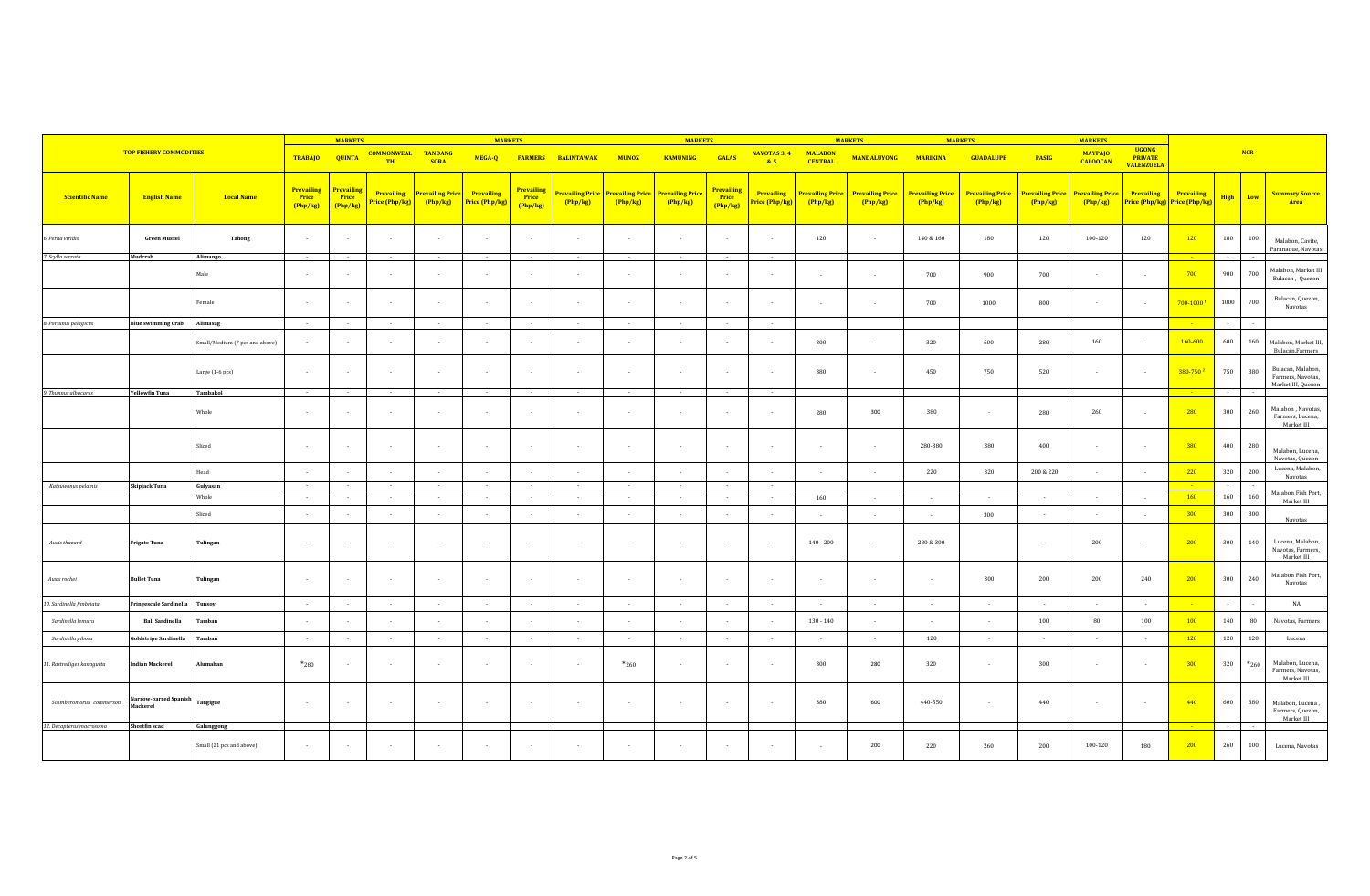| <b>TOP FISHERY COMMODITIES</b> |                                   |                                | <b>MARKETS</b>                |                                 |                                     | <b>MARKETS</b>                    |                                     |                                 |                   |              | <b>MARKETS</b>                                                      |                                      |                                     |                                   | <b>MARKETS</b>                    |                                   | <b>MARKETS</b>                      | <b>MARKETS</b>                    |                                   |                                                     |                                                           |             |           |                                                              |
|--------------------------------|-----------------------------------|--------------------------------|-------------------------------|---------------------------------|-------------------------------------|-----------------------------------|-------------------------------------|---------------------------------|-------------------|--------------|---------------------------------------------------------------------|--------------------------------------|-------------------------------------|-----------------------------------|-----------------------------------|-----------------------------------|-------------------------------------|-----------------------------------|-----------------------------------|-----------------------------------------------------|-----------------------------------------------------------|-------------|-----------|--------------------------------------------------------------|
|                                |                                   |                                | <b>TRABAJO</b>                | <b>QUINTA</b>                   | <b>COMMONWEAL</b><br><b>TH</b>      | TANDANG<br><b>SORA</b>            | MEGA-Q                              | <b>FARMERS</b>                  | <b>BALINTAWAK</b> | <b>MUNOZ</b> | <b>KAMUNING</b>                                                     | <b>GALAS</b>                         | NAVOTAS 3, 4<br>85                  | <b>MALABON</b><br><b>CENTRAL</b>  | <b>MANDALUYONG</b>                | <b>MARIKINA</b>                   | <b>GUADALUPE</b>                    | <b>PASIG</b>                      | <b>MAYPAJO</b><br><b>CALOOCAN</b> | <b>UGONG</b><br><b>PRIVATE</b><br><b>VALENZUELA</b> |                                                           |             | NCR       |                                                              |
| <b>Scientific Name</b>         | <b>English Name</b>               | <b>Local Name</b>              | Prevailing<br>Price<br>Php/kg | Prevailing<br>Price<br>(Php/kg) | <b>Prevailing</b><br>Price (Php/kg) | <b>Prevailing Price</b><br>Php/kg | <b>Prevailing</b><br>Price (Php/kg) | Prevailing<br>Price<br>(Php/kg) | Php/kg            | Php/kg       | <b>Prevailing Price Prevailing Price Prevailing Price</b><br>Php/kg | Prevailing<br><b>Price</b><br>Php/kg | <b>Prevailing</b><br>Price (Php/kg) | <b>Prevailing Price</b><br>Php/kg | <b>Prevailing Price</b><br>Php/kg | <b>Prevailing Price</b><br>Php/kg | <b>Prevailing Price</b><br>(Php/kg) | <b>Prevailing Price</b><br>Php/kg | <b>Prevailing Price</b><br>Php/kg | Prevailing                                          | <b>Prevailing</b><br><b>Price (Php/kg) Price (Php/kg)</b> | <b>High</b> | Low       | <b>Summary Source</b><br>Area                                |
| 6. Perna viridis               | <b>Green Mussel</b>               | Tahong                         | <b>1999</b>                   | $\sim$                          | . .                                 | $\sim$                            | $\sim$                              | $\sim$                          | $\sim$            | $\sim$       | $\sim$                                                              | $\sim$                               | $\sim$                              | 120                               | $\sim$                            | 140 & 160                         | 180                                 | 120                               | 100-120                           | 120                                                 | 120                                                       | 180         | 100       | Malabon, Cavite,                                             |
| 7. Scylla serrata              | Mudcrab                           | Alimango                       | $\sim$                        |                                 |                                     | $\sim$                            |                                     |                                 | $\sim$            |              | $\sim$                                                              |                                      |                                     |                                   |                                   |                                   |                                     |                                   |                                   |                                                     |                                                           |             |           | Paranaque, Navotas                                           |
|                                |                                   | Male                           |                               | $\sim$                          | $\sim$                              | $\sim$                            | $\sim$                              | $\cdot$                         | $\sim$            | $\sim$       | $\sim$                                                              | $\sim$                               | $\sim$                              | $\sim$                            | $\sim$                            | 700                               | 900                                 | 700                               | $\sim$                            | $\sim$                                              | 700                                                       | 900         | 700       | Malabon, Market III<br>Bulacan, Quezon                       |
|                                |                                   | Female                         | $\sim$                        | $\sim$                          | $\overline{\phantom{a}}$            | $\sim$                            | $\sim$                              | $\sim$                          | $\sim$            | $\sim$       | $\sim$                                                              | $\overline{\phantom{a}}$             | $\sim$                              | $\sim$                            | $\sim$                            | 700                               | 1000                                | 800                               | $\cdot$                           | $\sim$                                              | 700-10001                                                 | 1000        | 700       | Bulacan, Quezon,                                             |
| 8. Portunus pelagicus          | <b>Blue swimming Crab</b>         | Alimasag                       | $\sim$                        | $\sim$                          | $\sim$                              | $\sim$                            | $\sim$                              | $\sim$                          | $\sim$            | $\sim$       | $\sim$                                                              | $\sim$                               | $\sim$                              |                                   |                                   |                                   |                                     |                                   |                                   |                                                     | $\sim 10^{-11}$                                           | $\sim$      |           |                                                              |
|                                |                                   | Small/Medium (7 pcs and above) |                               | $\sim$                          |                                     | $\sim$                            | $\sim$                              | $\mathbf{r}$                    | $\sim$            | $\sim$       | $\sim$                                                              | $\sim$                               | $\sim$                              | 300                               | $\sim$                            | 320                               | 600                                 | 280                               | 160                               | $\sim$                                              | 160-600                                                   | 600         | 160       | Malabon, Market III,<br>Bulacan, Farmers                     |
|                                |                                   | Large (1-6 pcs)                | $\sim$                        | $\sim$                          | $\overline{\phantom{a}}$            | $\sim$                            | $\sim$                              | $\overline{\phantom{a}}$        | $\sim$            | $\sim$       | $\sim$                                                              | $\overline{\phantom{a}}$             | $\sim$                              | 380                               | $\sim$                            | 450                               | 750                                 | 520                               | $\mathbf{r}$                      | $\sim$                                              | 380-750 <sup>2</sup>                                      | 750         | 380       | Bulacan, Malabon,<br>Farmers, Navotas,<br>Market III, Quezon |
| 9. Thunnus albacares           | <b>Yellowfin Tuna</b>             | Tambakol                       |                               |                                 |                                     | <b>Contract</b>                   | $\sim$                              |                                 | $\sim$            | $\sim$       | $\sim$                                                              |                                      | $\sim$                              |                                   |                                   |                                   |                                     |                                   |                                   |                                                     |                                                           | $\sim$      |           |                                                              |
|                                |                                   | Whole                          | $\sim$                        | $\sim$                          |                                     | $\sim$                            | $\sim$                              | $\sim$                          | $\sim$            | $\sim$       | $\sim$                                                              | ÷                                    | $\sim$                              | 280                               | 300                               | 380                               | $\sim$                              | 280                               | 260                               | $\sim$                                              | 280                                                       | 300         | 260       | Malabon, Navotas,                                            |
|                                |                                   | Sliced                         | $\sim$                        | $\sim$                          | $\cdot$                             | $\sim$                            | $\sim$                              | $\sim$                          | $\sim$            | $\sim$       | $\sim$                                                              |                                      | $\sim$                              | $\sim$                            | $\sim$                            | 280-380                           | 380                                 | 400                               | $\sim$                            | $\sim$                                              | 380                                                       | 400         | 280       | Malabon, Lucena,<br>Navotas, Quezon                          |
|                                |                                   | Head                           | $\mathbf{r}$                  | $\sim$                          | $\mathbf{r}$                        | $\sim$                            | $\sim$                              | $\mathbf{r}$                    | $\sim$            | $\sim$       | $\sim$                                                              | $\sim$                               | $\sim$                              |                                   | $\sim$                            | 220                               | 320                                 | 200 & 220                         | $\sim$                            | $\sim$                                              | 220                                                       | 320         | 200       | Lucena, Malabon,                                             |
| Katsuwonus pelamis             | Skipjack Tuna                     | Gulyasan                       |                               |                                 |                                     | $\sim$                            | $\sim$                              |                                 | $\sim$            | $\sim$       | $\sim$                                                              |                                      | $\sim$                              |                                   |                                   |                                   |                                     |                                   |                                   |                                                     |                                                           |             |           |                                                              |
|                                |                                   | Whole                          | $\sim$ 100 $\mu$              | $\sim$                          | $\sim$                              | $\sim$                            | $\sim$                              | $\sim$                          | $\sim$            | $\sim$       | $\sim$                                                              | $\sim$                               | $\sim$                              | 160                               | $\sim$                            | $\sim$ 10 $\sim$                  | $\sim$                              | $\sim$                            | $\sim$                            | $\sim$                                              | 160                                                       | 160         | 160       | Malabon Fish Port,                                           |
|                                |                                   | Sliced                         | $\sim$                        | $\sim$                          | $\cdot$                             | $\sim$                            | $\sim$                              | $\cdot$                         | $\sim$            | $\sim$       | $\sim$                                                              | $\sim$                               | $\sim$                              |                                   | $\sim$                            | $\sim$                            | 300                                 | $\sim$                            | $\sim$                            | $\sim$                                              | 300                                                       | 300         | 300       |                                                              |
| Auxis thazard                  | <b>Frigate Tuna</b>               | Tulingan                       | $\sim$                        | $\sim$                          | $\cdot$                             | $\sim$                            | $\sim$                              | $\sim$                          | $\sim$            | $\sim$       | $\sim$                                                              | $\sim$                               | $\sim$                              | $140 - 200$                       | $\sim$                            | 280 & 300                         |                                     | $\sim$                            | 200                               | $\sim$                                              | 200                                                       | 300         | 140       | Lucena, Malabon,<br>Navotas, Farmers,                        |
| Auxis rochei                   | <b>Bullet Tuna</b>                | Tulingan                       |                               | $\sim$                          | $\sim$                              | $\sim$                            | $\sim$                              | $\sim$                          | $\sim$            | $\sim$       | $\sim$                                                              | $\sim$                               | $\sim$                              | $\sim$                            | $\sim$                            | $\sim$                            | 300                                 | 200                               | 200                               | 240                                                 | 200                                                       | 300         | 240       | Malabon Fish Port,                                           |
| 10. Sardinella fimbriata       | ringescale Sardinella             | Tunsoy                         | $\sim$                        | $\sim$                          | $\sim$                              | $\sim$                            | $\sim$                              | $\sim$                          | $\sim$            | $\sim$       | $\sim$                                                              | $\sim$                               | $\sim$                              | $\sim$                            | $\sim$                            | $\sim$                            | $\sim$                              | $\sim$                            | $\sim$                            | $\sim$                                              | $\sim 10^{-11}$                                           | $\sim$      |           |                                                              |
| Sardinella lemuru              | <b>Bali Sardinella</b>            | Tamban                         |                               |                                 |                                     | $\sim$                            | $\sim$                              |                                 | $\sim$            | $\sim$       |                                                                     |                                      | $\sim$                              | $130 - 140$                       | $\sim$                            | $\sim$                            |                                     | 100                               | 80                                | 100                                                 | 100                                                       | 140         | 80        |                                                              |
| Sardinella gibosa              | Goldstripe Sardinella             | Tamban                         | $\sim$ 100 $\pm$              | $\sim$                          | $\sim$                              | $\sim$ 100 $\pm$                  | $\sim$                              | $\sim$                          | $\sim$            | $\sim$       | $\sim$                                                              | $\sim$                               | $\sim$                              | $\sim$                            | $\sim$                            | 120                               | $\sim$                              | $\sim$                            | $\sim$                            | $\sim$                                              | 120                                                       | 120         | 120       |                                                              |
| 11. Rastrelliger kanagurta     | <b>Indian Mackerel</b>            | Alumahan                       | $*_{280}$                     | $\sim$                          | $\sim$                              | $\sim$                            | $\sim$                              | $\sim$                          | $\sim$            | $*_{260}$    | $\sim$                                                              | $\sim$                               | $\sim$                              | 300                               | 280                               | 320                               | $\sim$                              | 300                               | $\sim$                            | $\sim$                                              | 300                                                       | 320         | $*_{260}$ | Malabon, Lucena,<br>Farmers, Navotas,                        |
| Scomberomorus commerson        | Narrow-barred Spanish<br>Mackerel | Tangigue                       | $\sim$                        | $\sim$                          | $\sim$                              | $\sim$                            | $\sim$                              | $\sim$                          | $\sim$            | $\sim$       | $\sim$                                                              | $\sim$                               | $\sim$                              | 380                               | 600                               | 440-550                           | $\sim$                              | 440                               | $\sim$                            | $\sim$                                              | 440                                                       | 600         | 380       | Malabon, Lucena,<br>Farmers, Quezon,                         |
| 12. Decapterus macrosoma       | Shortfin scad                     | Galunggong                     |                               |                                 |                                     |                                   |                                     |                                 |                   |              |                                                                     |                                      |                                     |                                   |                                   |                                   |                                     |                                   |                                   |                                                     |                                                           | $\sim$      |           |                                                              |
|                                |                                   | Small (21 pcs and above)       | $\sim 10^{-1}$                | $\sim$                          | $\sim$                              | $\sim$                            | $\sim$                              | $\sim$                          | $\sim$            | $\sim$       | $\sim$                                                              | $\sim$                               | $\sim$                              | $\sim$                            | 200                               | 220                               | 260                                 | 200                               | 100-120                           | 180                                                 | 200                                                       | 260         | 100       | Lucena, Navotas                                              |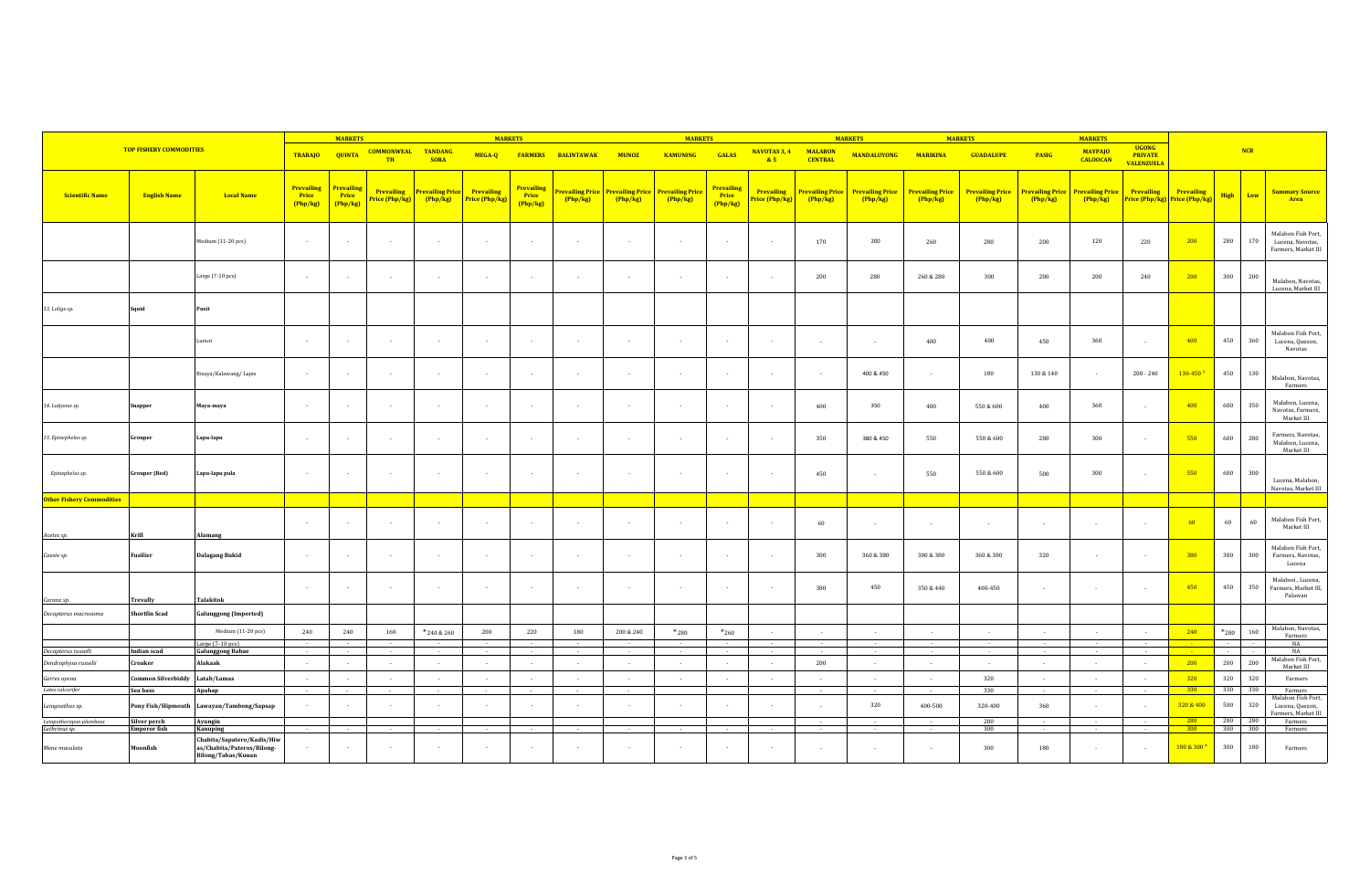|                                  |                                |                                                                                       |                                      | <b>MARKETS</b>                |                             |                                   | <b>MARKETS</b>                      |                                      |                   |                                                              | <b>MARKETS</b>  |                                      |                                    | <b>MARKETS</b>                    |                                   |                                   | <b>MARKETS</b>                    |                                  |                                   |                                                     |                                             |                  |                                                               |  |
|----------------------------------|--------------------------------|---------------------------------------------------------------------------------------|--------------------------------------|-------------------------------|-----------------------------|-----------------------------------|-------------------------------------|--------------------------------------|-------------------|--------------------------------------------------------------|-----------------|--------------------------------------|------------------------------------|-----------------------------------|-----------------------------------|-----------------------------------|-----------------------------------|----------------------------------|-----------------------------------|-----------------------------------------------------|---------------------------------------------|------------------|---------------------------------------------------------------|--|
|                                  | <b>TOP FISHERY COMMODITIES</b> |                                                                                       | <b>TRABAJO</b>                       | <b>QUINTA</b>                 | <b>COMMONWEAL</b><br>TH     | <b>TANDANG</b><br><b>SORA</b>     | MEGA-Q                              | <b>FARMERS</b>                       | <b>BALINTAWAK</b> | <b>MUNOZ</b>                                                 | <b>KAMUNING</b> | GALAS                                | <b>NAVOTAS 3, 4</b><br>85          | <b>MALABON</b><br><b>CENTRAL</b>  | <b>MANDALUYONG</b>                | <b>MARIKINA</b>                   | <b>GUADALUPE</b>                  | <b>PASIG</b>                     | <b>MAYPAJO</b><br><b>CALOOCAN</b> | <b>UGONG</b><br><b>PRIVATE</b><br><b>VALENZUELA</b> |                                             | NCR              |                                                               |  |
| <b>Scientific Name</b>           | <b>English Name</b>            | <b>Local Name</b>                                                                     | <b>Prevailing</b><br>Price<br>Php/kg | Prevailing<br>Price<br>Php/kg | Prevailing<br>rice (Php/kg) | <b>Prevailing Price</b><br>Php/kg | <b>Prevailing</b><br>Price (Php/kg) | <b>Prevailing</b><br>Price<br>Php/kg | Php/kg            | Prevailing Price Prevailing Price Prevailing Price<br>Php/kg | Php/kg          | <b>Prevailing</b><br>Price<br>Php/kg | <b>Prevailing</b><br>rice (Php/kg) | <b>Prevailing Price</b><br>Php/kg | <b>Prevailing Price</b><br>Php/kg | <b>Prevailing Price</b><br>Php/kg | <b>Prevailing Price</b><br>Php/kg | <b>revailing Price</b><br>Php/kg | <b>Prevailing Price</b><br>Php/kg | Prevailing                                          | Prevailing<br>Price (Php/kg) Price (Php/kg) | Low<br>High      | <b>Summary Source</b><br>Area                                 |  |
|                                  |                                | Medium (11-20 pcs)                                                                    | $\sim$                               |                               | $\sim$                      |                                   |                                     | $\sim$                               | $\cdot$           | $\sim$                                                       |                 |                                      | $\sim$                             | 170                               | 200                               | 260                               | 280                               | 200                              | 120                               | 220                                                 | 200                                         | 280<br>170       | Malabon Fish Port,<br>Lucena, Navotas,<br>Farmers, Market III |  |
|                                  |                                | Large (7-10 pcs)                                                                      | $\sim$                               | ÷                             | $\sim$                      |                                   |                                     | $\sim$                               | $\cdot$           | $\sim$                                                       | $\sim$          |                                      | $\sim$                             | 200                               | 280                               | 260 & 280                         | 300                               | 200                              | 200                               | 240                                                 | 200                                         | 300<br>200       | Malabon, Navotas,<br>Lucena, Market III                       |  |
| 13. Loligo sp.                   | Squid                          | Pusit                                                                                 |                                      |                               |                             |                                   |                                     |                                      |                   |                                                              |                 |                                      |                                    |                                   |                                   |                                   |                                   |                                  |                                   |                                                     |                                             |                  |                                                               |  |
|                                  |                                | Lumot                                                                                 | $\sim$                               | $\sim$                        | $\sim$                      | <b>1999</b>                       |                                     | $\overline{\phantom{a}}$             | $\sim$            | $\sim$                                                       | $\sim$          |                                      | $\sim$                             | $\sim$                            | $\sim$                            | 400                               | 400                               | 450                              | 360                               | $\sim$                                              | 400                                         | 450<br>360       | Malabon Fish Port,<br>Lucena, Quezon,<br>Navotas              |  |
|                                  |                                | Bisaya/Kalawang/Lapis                                                                 |                                      |                               | $\sim$                      | $\sim$                            |                                     | $\sim$                               | $\sim$            | $\sim$                                                       | $\sim$          |                                      | $\sim$                             | $\sim$                            | 400 & 450                         | $\sim$                            | 180                               | 130 & 140                        | $\sim$                            | $200 - 240$                                         | $130 - 450$ <sup>3</sup>                    | 450<br>130       | Malabon, Navotas,<br>Farmers                                  |  |
| 14. Lutjanus sp.                 | Snapper                        | Maya-maya                                                                             | $\sim$                               | $\overline{\phantom{a}}$      | $\sim$                      | $\sim$                            |                                     | $\sim$                               | $\sim$            | $\sim$                                                       | $\sim$          |                                      | $\sim$                             | 400                               | 350                               | 400                               | 550 & 600                         | 400                              | 360                               | $\sim$                                              | 400                                         | 600<br>350       | Malabon, Lucena,<br>Navotas, Farmers,<br>Market III           |  |
| 15. Epinephelus sp.              | Grouper                        | Lapu-lapu                                                                             | $\sim$                               |                               | $\sim$                      |                                   |                                     | $\overline{\phantom{a}}$             | $\cdot$           | $\sim$                                                       | $\sim$          |                                      | $\sim$                             | 350                               | 380 & 450                         | 550                               | 550 & 600                         | 280                              | 300                               | $\sim$                                              | 550                                         | 280<br>600       | Farmers, Navotas,<br>Malabon, Lucena,<br>Market III           |  |
| Epinephelus sp.                  | <b>Grouper</b> (Red)           | Lapu-lapu pula                                                                        | $\sim$                               |                               | $\sim$                      |                                   |                                     | $\sim$                               | $\sim$            | $\sim$                                                       | $\sim$          |                                      | $\sim$                             | 450                               | $\cdot$                           | 550                               | 550 & 600                         | 500                              | 300                               | $\cdot$                                             | 550                                         | 300<br>600       | Lucena, Malabon,<br>Navotas, Market III                       |  |
| <b>Other Fishery Commodities</b> |                                |                                                                                       |                                      |                               |                             |                                   |                                     |                                      |                   |                                                              |                 |                                      |                                    |                                   |                                   |                                   |                                   |                                  |                                   |                                                     |                                             |                  |                                                               |  |
| Acetes sp.                       | Krill                          | Alamang                                                                               | $\sim$                               | $\sim$                        | $\sim$                      | $\sim$                            |                                     | $\sim$                               | $\sim$            | $\sim$                                                       | $\sim$          |                                      | $\sim$                             | 60                                | $\cdot$                           |                                   | $\sim$                            | $\sim$                           | $\sim$                            | $\sim$                                              | -60                                         | 60<br>60         | Malabon Fish Port,<br>Market III                              |  |
| Caesio sp.                       | <b>Fusilier</b>                | <b>Dalagang Bukid</b>                                                                 | $\sim$                               |                               | $\sim$                      |                                   |                                     | $\sim$                               | $\cdot$           | $\sim$                                                       | $\sim$          |                                      | $\sim$                             | 300                               | 360 & 380                         | 300 & 380                         | 360 & 380                         | 320                              | $\cdot$                           | $\sim$                                              | 380                                         | 380<br>300       | Malabon Fish Port,<br>Farmers, Navotas,<br>Lucena             |  |
| Caranx sp.                       | Trevally                       | Talakitok                                                                             | $\sim$                               | $\sim$                        | $\sim$                      | $\sim$                            |                                     | $\sim$                               | $\sim$            | $\sim$                                                       | $\sim$          |                                      | $\sim$                             | 380                               | 450                               | 350 & 440                         | 400-450                           | $\sim$                           | $\sim$                            | $\sim$                                              | 450                                         | 450<br>350       | Malabon, Lucena,<br>Farmers, Market III,<br>Palawan           |  |
| Decapterus macrosoma             | Shortfin Scad                  | Galunggong (Imported)                                                                 |                                      |                               |                             |                                   |                                     |                                      |                   |                                                              |                 |                                      |                                    |                                   |                                   |                                   |                                   |                                  |                                   |                                                     |                                             |                  |                                                               |  |
|                                  |                                | Medium (11-20 pcs)                                                                    | 240                                  | 240                           | 160                         | *240 & 260                        | 200                                 | 220                                  | 180               | 200 & 240                                                    | $*_{280}$       | $*_{260}$                            | $\sim$                             | $\sim$                            | $\sim$                            | $\sim$ 100 $\mu$                  | $\sim$                            | $\sim$                           | $\sim$                            | $\sim$                                              | 240                                         | 160<br>$*_{280}$ | Malabon, Navotas,<br>Farmers                                  |  |
|                                  |                                | Large (7-10 pcs)                                                                      |                                      |                               |                             |                                   |                                     |                                      |                   |                                                              |                 |                                      |                                    |                                   |                                   |                                   |                                   |                                  |                                   |                                                     |                                             |                  | NA                                                            |  |
| Decapterus russelli              | Indian scad                    | <b>Galunggong Babae</b>                                                               | $\sim$                               |                               | $\sim$                      |                                   |                                     | $\mathbf{r}$                         | $\sim$            | $\sim$                                                       | $\sim$          |                                      | $\sim$                             |                                   | $\sim$                            | $\sim$                            |                                   | $\sim$                           |                                   | ÷                                                   |                                             | $\sim$<br>14     | NA<br>Malabon Fish Port,                                      |  |
| Dendrophysa russelii             | Croaker                        | Alakaak                                                                               | $\sim$                               | $\sim$                        | $\sim$                      | $\sim$                            | $\sim$                              | $\sim$                               | $\sim$            | $\sim$                                                       | $\sim$          | $\sim$                               | $\sim$                             | 200                               | $\sim$                            | <b>College</b>                    | $\sim$                            | $\sim$                           | $\sim$                            | $\sim$ $-$                                          | 200                                         | 200<br>200       | Market III                                                    |  |
| Gerres oyena                     | Common Silverbiddy             | Latab/Lamas                                                                           | $\sim$                               | $\sim$                        | $\sim$                      | <b>1999</b>                       |                                     | $\overline{\phantom{a}}$             | $\sim$            | $\sim$                                                       | $\sim$          |                                      | . .                                |                                   | $\sim$                            | $\sim$                            | 320                               | $\sim$                           |                                   | $\sim$                                              | 320                                         | 320<br>320       | Farmers                                                       |  |
| Lates calcarifer                 | Sea bass                       | Apahap                                                                                | $\sim$                               |                               | $\sim$                      |                                   |                                     | $\sim$                               | $\sim$            | $\sim$                                                       |                 |                                      |                                    |                                   | $\sim$                            |                                   | 330                               | $\sim$                           | $\sim$                            | $\sim$                                              | 330                                         | 330<br>330       | Farmers<br>Malabon Fish Port,                                 |  |
| Leiognathus sp.                  |                                | Pony Fish/Slipmouth Lawayan/Tambong/Sapsap                                            | $\sim$                               | $\sim$                        | $\sim$                      | <b>1999</b>                       |                                     | $\sim$                               | $\sim$            | $\sim$                                                       | $\sim$          |                                      | $\sim$                             | $\sim$                            | 320                               | 400-500                           | 320-400                           | 360                              | $\sim$                            | $\sim$                                              | 320 & 400                                   | 500<br>320       | Lucena, Quezon,<br>armers, Market III                         |  |
| Leiopotherapon plumbeus          | Silver perch                   | Ayungin                                                                               |                                      | $\sim$                        |                             |                                   |                                     |                                      |                   |                                                              | $\sim$          |                                      |                                    |                                   | $\sim$                            |                                   | 280                               | $\sim$                           |                                   | $\sim$                                              | 280                                         | 280<br>280       | Farmers                                                       |  |
| Lethrinus sp.                    | <b>Emperor</b> fish            | <b>Kanuping</b>                                                                       |                                      |                               | $\sim$                      | $\sim$                            |                                     | $\sim$                               | $\sim$            | $\sim$                                                       |                 |                                      | $\sim$                             | $\sim$                            | $\sim$                            | $\sim$                            | 300                               | $\sim$                           | $\sim$                            | $\sim$                                              | 300                                         | 300 300          | Farmers                                                       |  |
| Mene maculata                    | Moonfish                       | Chabita/Sapatero/Kadis/Hiw<br>as/Chabita/Pateros/Bilong-<br><b>Bilong/Tabas/Kunan</b> |                                      | $\sim$                        | $\sim$                      |                                   |                                     | $\sim$                               |                   |                                                              |                 |                                      |                                    |                                   |                                   |                                   | 300                               | 180                              |                                   | $\cdot$                                             | 180 & 300 4                                 | 300<br>180       | Farmers                                                       |  |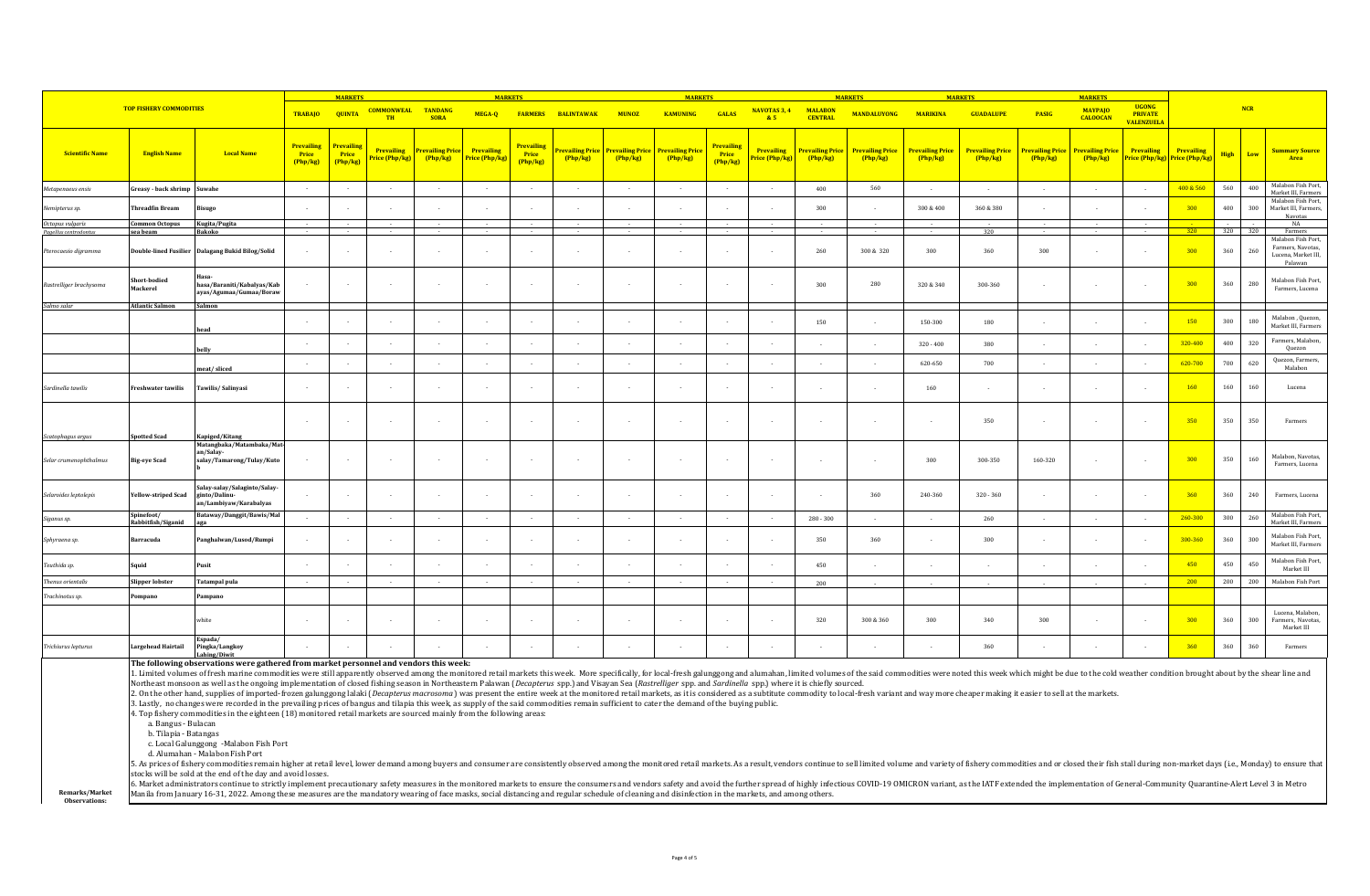|                         |                                               | <b>MARKETS</b>                                                                                                                                                                                                                                                                                                                                                                                                                                                                                                                                                                                                                                                                                                                                                                                                                                                                                                                                                                                                                                                                                                       |                                      |                               |                                    | <b>MARKETS</b>                    |                              |                                        |                            | <b>MARKETS</b>             |                                   |                                        | <b>MARKETS</b>                      |                                   |                                   | <b>MARKETS</b>                    |                                   |                           |                                   |                                                     |                                                    |             |            |                                                                           |
|-------------------------|-----------------------------------------------|----------------------------------------------------------------------------------------------------------------------------------------------------------------------------------------------------------------------------------------------------------------------------------------------------------------------------------------------------------------------------------------------------------------------------------------------------------------------------------------------------------------------------------------------------------------------------------------------------------------------------------------------------------------------------------------------------------------------------------------------------------------------------------------------------------------------------------------------------------------------------------------------------------------------------------------------------------------------------------------------------------------------------------------------------------------------------------------------------------------------|--------------------------------------|-------------------------------|------------------------------------|-----------------------------------|------------------------------|----------------------------------------|----------------------------|----------------------------|-----------------------------------|----------------------------------------|-------------------------------------|-----------------------------------|-----------------------------------|-----------------------------------|-----------------------------------|---------------------------|-----------------------------------|-----------------------------------------------------|----------------------------------------------------|-------------|------------|---------------------------------------------------------------------------|
|                         | <b>TOP FISHERY COMMODITIES</b>                |                                                                                                                                                                                                                                                                                                                                                                                                                                                                                                                                                                                                                                                                                                                                                                                                                                                                                                                                                                                                                                                                                                                      | <b>TRABAJO</b>                       | <b>QUINTA</b>                 | <b>COMMONWEAL</b><br><b>TH</b>     | <b>TANDANG</b><br><b>SORA</b>     | MEGA-Q                       |                                        | <b>FARMERS BALINTAWAK</b>  | <b>MUNOZ</b>               | <b>KAMUNING</b>                   | GALAS                                  | NAVOTAS 3, 4<br>85                  | <b>MALABON</b><br><b>CENTRAL</b>  | <b>MANDALUYONG</b>                | <b>MARIKINA</b>                   | <b>GUADALUPE</b>                  | <b>PASIG</b>              | <b>MAYPAIO</b><br><b>CALOOCAN</b> | <b>UGONG</b><br><b>PRIVATE</b><br><b>VALENZUELA</b> |                                                    |             | <b>NCR</b> |                                                                           |
| <b>Scientific Name</b>  | <b>English Name</b>                           | <b>Local Name</b>                                                                                                                                                                                                                                                                                                                                                                                                                                                                                                                                                                                                                                                                                                                                                                                                                                                                                                                                                                                                                                                                                                    | <b>Prevailing</b><br>Price<br>Php/kg | Prevailing<br>Price<br>Php/kg | <b>Prevailing</b><br>rice (Php/kg) | <b>Prevailing Price</b><br>Php/kg | Prevailing<br>Price (Php/kg) | <b>Prevailing</b><br>Price<br>(Php/kg) | Prevailing Price<br>Php/kg | Prevailing Price<br>Php/kg | <b>Prevailing Price</b><br>Php/kg | <b>Prevailing</b><br>Price<br>(Php/kg) | <b>Prevailing</b><br>Price (Php/kg) | <b>Prevailing Price</b><br>Php/kg | <b>Prevailing Price</b><br>Php/kg | <b>Prevailing Price</b><br>Php/kg | <b>Prevailing Price</b><br>Php/kg | revailing Price<br>Php/kg | Prevailing Price<br>Php/kg        | <b>Prevailing</b>                                   | <b>Prevailing</b><br>Price (Php/kg) Price (Php/kg) | <b>High</b> | Low        | <b>Summary Source</b><br>Area                                             |
| Metapenaeus ensis       | Greasy - back shrimp Suwahe                   |                                                                                                                                                                                                                                                                                                                                                                                                                                                                                                                                                                                                                                                                                                                                                                                                                                                                                                                                                                                                                                                                                                                      | $\sim$                               |                               | $\sim$                             | $\sim$                            | $\sim$                       | $\sim$                                 | $\sim$                     | $\sim$                     | $\sim$                            |                                        | $\sim$                              | 400                               | 560                               | $\sim$                            | $\sim$                            | $\sim$                    | $\sim$                            | $\sim$                                              | 400 & 560                                          | 560         | 400        | Malabon Fish Port,<br>Market III, Farmers                                 |
| Nemipterus sp.          | Threadfin Bream                               | isugo                                                                                                                                                                                                                                                                                                                                                                                                                                                                                                                                                                                                                                                                                                                                                                                                                                                                                                                                                                                                                                                                                                                |                                      |                               |                                    |                                   |                              |                                        |                            |                            |                                   |                                        |                                     | 300                               |                                   | 300 & 400                         | 360 & 380                         |                           |                                   | $\cdot$                                             | 300                                                | 400         | 300        | Malabon Fish Port,<br>Market III, Farmers,<br><b>Navotas</b>              |
| Octopus vulgaris        | Common Octopus                                | Kugita/Pugita                                                                                                                                                                                                                                                                                                                                                                                                                                                                                                                                                                                                                                                                                                                                                                                                                                                                                                                                                                                                                                                                                                        |                                      |                               |                                    |                                   |                              |                                        |                            |                            |                                   |                                        |                                     |                                   |                                   |                                   |                                   |                           |                                   | $\sim$                                              |                                                    |             |            | NA                                                                        |
| Pagellus centrodontus   | sea beam                                      | Bakoko                                                                                                                                                                                                                                                                                                                                                                                                                                                                                                                                                                                                                                                                                                                                                                                                                                                                                                                                                                                                                                                                                                               |                                      |                               |                                    |                                   |                              |                                        |                            |                            |                                   |                                        |                                     |                                   |                                   |                                   | 320                               |                           |                                   |                                                     | 320                                                | 320         | 320        | Farmers                                                                   |
| Pterocaesio digramma    |                                               | Double-lined Fusilier Dalagang Bukid Bilog/Solid                                                                                                                                                                                                                                                                                                                                                                                                                                                                                                                                                                                                                                                                                                                                                                                                                                                                                                                                                                                                                                                                     |                                      |                               |                                    | $\sim$                            |                              | $\overline{\phantom{a}}$               | $\mathbf{r}$               |                            | ÷                                 |                                        | $\mathbf{r}$                        | 260                               | 300 & 320                         | 300                               | 360                               | 300                       |                                   | $\cdot$                                             | 300                                                | 360         | 260        | Malabon Fish Port,<br>Farmers, Navotas,<br>Lucena, Market III,<br>Palawan |
| Rastrelliger brachysoma | Short-bodied<br>Mackerel                      | hasa/Baraniti/Kabalyas/Kab<br>ayas/Agumaa/Gumaa/Boraw                                                                                                                                                                                                                                                                                                                                                                                                                                                                                                                                                                                                                                                                                                                                                                                                                                                                                                                                                                                                                                                                |                                      |                               |                                    |                                   |                              | ٠.                                     | $\overline{\phantom{a}}$   |                            |                                   |                                        |                                     | 300                               | 280                               | 320 & 340                         | 300-360                           | $\sim$                    |                                   | $\overline{\phantom{a}}$                            | 300                                                | 360         | 280        | Malabon Fish Port,<br>Farmers, Lucena                                     |
| Salmo salar             | <b>Atlantic Salmon</b>                        | Salmon                                                                                                                                                                                                                                                                                                                                                                                                                                                                                                                                                                                                                                                                                                                                                                                                                                                                                                                                                                                                                                                                                                               |                                      |                               |                                    |                                   |                              |                                        |                            |                            |                                   |                                        |                                     |                                   |                                   |                                   |                                   |                           |                                   |                                                     |                                                    |             |            |                                                                           |
|                         |                                               | ıead                                                                                                                                                                                                                                                                                                                                                                                                                                                                                                                                                                                                                                                                                                                                                                                                                                                                                                                                                                                                                                                                                                                 |                                      |                               |                                    |                                   |                              |                                        |                            |                            |                                   |                                        |                                     | 150                               |                                   | 150-300                           | 180                               |                           |                                   |                                                     | 150                                                | 300         | 180        | Malabon, Quezon,<br>Market III, Farmers                                   |
|                         |                                               | belly                                                                                                                                                                                                                                                                                                                                                                                                                                                                                                                                                                                                                                                                                                                                                                                                                                                                                                                                                                                                                                                                                                                |                                      |                               |                                    |                                   |                              |                                        |                            |                            |                                   |                                        |                                     |                                   |                                   | $320 - 400$                       | 380                               |                           |                                   |                                                     | 320-400                                            | 400         | 320        | Farmers, Malabon,<br>Quezon                                               |
|                         |                                               | meat/sliced                                                                                                                                                                                                                                                                                                                                                                                                                                                                                                                                                                                                                                                                                                                                                                                                                                                                                                                                                                                                                                                                                                          | $\sim$                               |                               |                                    | $\sim$                            |                              |                                        | $\overline{\phantom{a}}$   |                            |                                   |                                        |                                     |                                   |                                   | 620-650                           | 700                               |                           |                                   | $\overline{\phantom{a}}$                            | 620-700                                            | 700         | 620        | <b>Ouezon</b> , Farmers.<br>Malabon                                       |
| Sardinella tawilis      | Freshwater tawilis                            | Tawilis/Salinyasi                                                                                                                                                                                                                                                                                                                                                                                                                                                                                                                                                                                                                                                                                                                                                                                                                                                                                                                                                                                                                                                                                                    |                                      |                               |                                    |                                   |                              |                                        |                            |                            |                                   |                                        |                                     |                                   | $\overline{\phantom{a}}$          | 160                               |                                   |                           |                                   | $\sim$                                              | 160                                                | 160         | 160        | Lucena                                                                    |
| Scatophagus argu:       | potted Scad                                   | Kapiged/Kitang                                                                                                                                                                                                                                                                                                                                                                                                                                                                                                                                                                                                                                                                                                                                                                                                                                                                                                                                                                                                                                                                                                       | ٠.                                   |                               |                                    | . .                               |                              |                                        | $\overline{\phantom{a}}$   | $\overline{\phantom{a}}$   | $\sim$                            |                                        | $\sim$                              |                                   |                                   |                                   | 350                               |                           |                                   | $\sim$                                              | 350                                                | 350         | 350        | Farmers                                                                   |
| Selar crumenophthalmus  | <b>Big-eye Scad</b>                           | Matangbaka/Matambaka/Mat-<br>an/Salay-<br>salay/Tamarong/Tulay/Kuto                                                                                                                                                                                                                                                                                                                                                                                                                                                                                                                                                                                                                                                                                                                                                                                                                                                                                                                                                                                                                                                  |                                      |                               |                                    | <b>A</b>                          |                              |                                        | $\overline{\phantom{a}}$   | $\mathbf{r}$               | $\mathbf{r}$                      |                                        | $\sim$                              |                                   | $\overline{\phantom{a}}$          | 300                               | 300-350                           | 160-320                   |                                   | $\sim$                                              | 300                                                | 350         | 160        | Malabon, Navotas,<br>Farmers, Lucena                                      |
| Selaroides leptolepis   | <b>Yellow-striped Scad</b>                    | Salay-salay/Salaginto/Salay-<br>ginto/Dalinu-<br>an/Lambiyaw/Karabalyas                                                                                                                                                                                                                                                                                                                                                                                                                                                                                                                                                                                                                                                                                                                                                                                                                                                                                                                                                                                                                                              |                                      |                               |                                    | $\sim$                            |                              |                                        | $\mathbf{r}$               | ÷                          |                                   |                                        |                                     |                                   | 360                               | 240-360                           | $320 - 360$                       |                           |                                   | $\sim$                                              | 360                                                | 360         | 240        | Farmers, Lucena                                                           |
| Siganus sp.             | Spinefoot/<br>.<br>Rabbitf <u>ish/Siganid</u> | Bataway/Danggit/Bawis/Mal                                                                                                                                                                                                                                                                                                                                                                                                                                                                                                                                                                                                                                                                                                                                                                                                                                                                                                                                                                                                                                                                                            | <b>1999</b>                          | $\sim$                        | $\sim$                             | . .                               | $\mathbf{r}$                 | $\sim$                                 | $\sim$                     | $\sim$                     | $\sim$                            | $\sim$                                 | $\sim$                              | $280 - 300$                       | $\sim$                            | $\sim$                            | 260                               | $\sim$                    |                                   | $\sim$                                              | 260-300                                            | 300         | 260        | Malabon Fish Port,<br>Market III Farmers                                  |
| Sphyraena sp.           | Barracuda                                     | Panghalwan/Lusod/Rumpi                                                                                                                                                                                                                                                                                                                                                                                                                                                                                                                                                                                                                                                                                                                                                                                                                                                                                                                                                                                                                                                                                               |                                      |                               |                                    | $\sim$                            |                              |                                        | $\sim$                     |                            | $\mathbf{r}$                      |                                        |                                     | 350                               | 360                               |                                   | 300                               |                           |                                   | $\sim$                                              | 300-360                                            | 360         | 300        | Malabon Fish Port,<br>Market III, Farmers                                 |
| Teuthida sp.            | Squid                                         | Pusit                                                                                                                                                                                                                                                                                                                                                                                                                                                                                                                                                                                                                                                                                                                                                                                                                                                                                                                                                                                                                                                                                                                |                                      |                               |                                    | $\sim$                            |                              |                                        | $\overline{\phantom{a}}$   | $\sim$                     |                                   |                                        |                                     | 450                               | $\sim$                            |                                   | $\sim$                            |                           |                                   | $\sim$                                              | 450                                                | 450         | 450        | Malabon Fish Port,<br>Market III                                          |
| Thenus orientali:       | Slipper lobster                               | <b>Tatampal pula</b>                                                                                                                                                                                                                                                                                                                                                                                                                                                                                                                                                                                                                                                                                                                                                                                                                                                                                                                                                                                                                                                                                                 | $\sim$                               |                               | $\sim$                             | $\sim$                            | $\sim$                       | $\sim$                                 | $\sim$                     | $\sim$                     | $\sim$                            | $\sim$                                 | $\sim$                              | 200                               |                                   |                                   |                                   |                           |                                   |                                                     | 200                                                | 200         | 200        | Malabon Fish Port                                                         |
| Trachinotus sp.         | 'ompano                                       | ampano                                                                                                                                                                                                                                                                                                                                                                                                                                                                                                                                                                                                                                                                                                                                                                                                                                                                                                                                                                                                                                                                                                               |                                      |                               |                                    |                                   |                              |                                        |                            |                            |                                   |                                        |                                     |                                   |                                   |                                   |                                   |                           |                                   |                                                     |                                                    |             |            |                                                                           |
|                         |                                               | white                                                                                                                                                                                                                                                                                                                                                                                                                                                                                                                                                                                                                                                                                                                                                                                                                                                                                                                                                                                                                                                                                                                | n.                                   |                               |                                    | $\sim$                            |                              |                                        | $\overline{\phantom{a}}$   |                            | ÷                                 |                                        |                                     | 320                               | 300 & 360                         | 300                               | 340                               | 300                       |                                   | ×.                                                  | 300                                                | 360         | 300        | Lucena, Malabon.<br>Farmers, Navotas,<br>Market III                       |
| Trichiurus lepturus     | Largehead Hairtail                            | Espada/<br>Pingka/Langkoy<br>Lahing/Diwit                                                                                                                                                                                                                                                                                                                                                                                                                                                                                                                                                                                                                                                                                                                                                                                                                                                                                                                                                                                                                                                                            |                                      |                               |                                    |                                   |                              |                                        |                            |                            |                                   |                                        |                                     |                                   |                                   |                                   | 360                               |                           |                                   |                                                     | 360                                                | 360         | 360        | Farmers                                                                   |
|                         | a. Bangus - Bulacan<br>h Tilania - Ratangae   | The following observations were gathered from market personnel and vendors this week:<br>1. Limited volumes of fresh marine commodities were still apparently observed among the monitored retail markets this week. More specifically, for local-fresh galunggong and alumahan, limited volumes of the said commoditie<br>Northeast monsoon as well as the ongoing implementation of closed fishing season in Northeastern Palawan ( <i>Decapterus</i> spp.) and Visayan Sea ( <i>Rastrelliger</i> spp. and Sardinella spp.) where it is chiefly sourced.<br>2. On the other hand, supplies of imported-frozen galunggong lalaki (Decapterus macrosoma) was present the entire week at the monitored retail markets, as it is considered as a subtitute commodity to local-fresh variant an<br>3. Lastly, no changes were recorded in the prevailing prices of bangus and tilapia this week, as supply of the said commodities remain sufficient to cater the demand of the buying public.<br>4. Top fishery commodities in the eighteen (18) monitored retail markets are sourced mainly from the following areas: |                                      |                               |                                    |                                   |                              |                                        |                            |                            |                                   |                                        |                                     |                                   |                                   |                                   |                                   |                           |                                   |                                                     |                                                    |             |            |                                                                           |

b. Tilapia - Batangas

c. Local Galunggong -Malabon Fish Port

d. Alumahan - Malabon Fish Port

5. As prices of fishery commodities remain higher at retail level, lower demand among buyers and consumer are consistently observed among the monitored retail markets. As a result, vendors continue to sell limited volume a stocks will be sold at the end of the day and avoid losses.

**Remarks/Market**  6. Market administrators continue to strictly implement precautionary safety measures in the monitored markets to ensure the consumers and vendors safety and avoid the further spread of highly infectious COVID-19 OMICRON v

**Observations:**